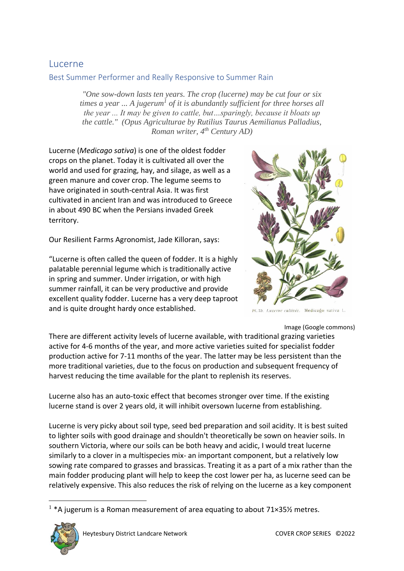# Lucerne

Best Summer Performer and Really Responsive to Summer Rain

*"One sow-down lasts ten years. The crop (lucerne) may be cut four or six times a year ... A jugerum<sup>1</sup> of it is abundantly sufficient for three horses all the year ... It may be given to cattle, but…sparingly, because it bloats up the cattle." (Opus Agriculturae by Rutilius Taurus Aemilianus Palladius, Roman writer, 4 th Century AD)* 

Lucerne (*Medicago sativa*) is one of the oldest fodder crops on the planet. Today it is cultivated all over the world and used for grazing, hay, and silage, as well as a green manure and cover crop. The legume seems to have originated in south-central Asia. It was first cultivated in ancient Iran and was introduced to Greece in about 490 BC when the Persians invaded Greek territory.

Our Resilient Farms Agronomist, Jade Killoran, says:

"Lucerne is often called the queen of fodder. It is a highly palatable perennial legume which is traditionally active in spring and summer. Under irrigation, or with high summer rainfall, it can be very productive and provide excellent quality fodder. Lucerne has a very deep taproot and is quite drought hardy once established.



Luzerne cultivée. Medicago sativa L.

Image (Google commons)

There are different activity levels of lucerne available, with traditional grazing varieties active for 4-6 months of the year, and more active varieties suited for specialist fodder production active for 7-11 months of the year. The latter may be less persistent than the more traditional varieties, due to the focus on production and subsequent frequency of harvest reducing the time available for the plant to replenish its reserves.

Lucerne also has an auto-toxic effect that becomes stronger over time. If the existing lucerne stand is over 2 years old, it will inhibit oversown lucerne from establishing.

Lucerne is very picky about soil type, seed bed preparation and soil acidity. It is best suited to lighter soils with good drainage and shouldn't theoretically be sown on heavier soils. In southern Victoria, where our soils can be both heavy and acidic, I would treat lucerne similarly to a clover in a multispecies mix- an important component, but a relatively low sowing rate compared to grasses and brassicas. Treating it as a part of a mix rather than the main fodder producing plant will help to keep the cost lower per ha, as lucerne seed can be relatively expensive. This also reduces the risk of relying on the lucerne as a key component

<sup>&</sup>lt;sup>1</sup> \*A jugerum is a Roman measurement of area equating to about 71×35½ metres.

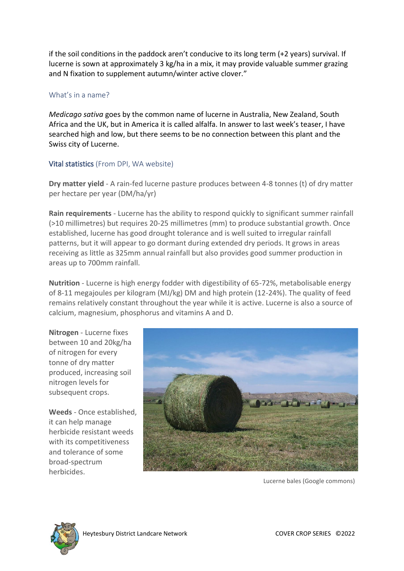if the soil conditions in the paddock aren't conducive to its long term (+2 years) survival. If lucerne is sown at approximately 3 kg/ha in a mix, it may provide valuable summer grazing and N fixation to supplement autumn/winter active clover."

## What's in a name?

*Medicago sativa* goes by the common name of lucerne in Australia, New Zealand, South Africa and the UK, but in America it is called alfalfa. In answer to last week's teaser, I have searched high and low, but there seems to be no connection between this plant and the Swiss city of Lucerne.

## Vital statistics (From DPI, WA website)

**Dry matter yield** - A rain-fed lucerne pasture produces between 4-8 tonnes (t) of dry matter per hectare per year (DM/ha/yr)

**Rain requirements** - Lucerne has the ability to respond quickly to significant summer rainfall (>10 millimetres) but requires 20-25 millimetres (mm) to produce substantial growth. Once established, lucerne has good drought tolerance and is well suited to irregular rainfall patterns, but it will appear to go dormant during extended dry periods. It grows in areas receiving as little as 325mm annual rainfall but also provides good summer production in areas up to 700mm rainfall.

**Nutrition** - Lucerne is high energy fodder with digestibility of 65-72%, metabolisable energy of 8-11 megajoules per kilogram (MJ/kg) DM and high protein (12-24%). The quality of feed remains relatively constant throughout the year while it is active. Lucerne is also a source of calcium, magnesium, phosphorus and vitamins A and D.

**Nitrogen** - Lucerne fixes between 10 and 20kg/ha of nitrogen for every tonne of dry matter produced, increasing soil nitrogen levels for subsequent crops.

**Weeds** - Once established, it can help manage herbicide resistant weeds with its competitiveness and tolerance of some broad-spectrum herbicides.



Lucerne bales (Google commons)

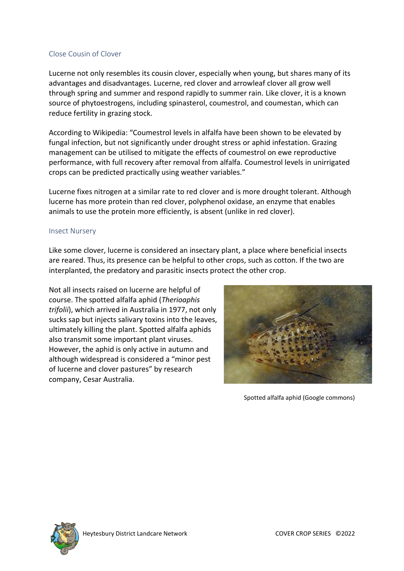## Close Cousin of Clover

Lucerne not only resembles its cousin clover, especially when young, but shares many of its advantages and disadvantages. Lucerne, red clover and arrowleaf clover all grow well through spring and summer and respond rapidly to summer rain. Like clover, it is a known source of phytoestrogens, including spinasterol, coumestrol, and coumestan, which can reduce fertility in grazing stock.

According to Wikipedia: "Coumestrol levels in alfalfa have been shown to be elevated by fungal infection, but not significantly under drought stress or aphid infestation. Grazing management can be utilised to mitigate the effects of coumestrol on ewe reproductive performance, with full recovery after removal from alfalfa. Coumestrol levels in unirrigated crops can be predicted practically using weather variables."

Lucerne fixes nitrogen at a similar rate to red clover and is more drought tolerant. Although lucerne has more protein than red clover, polyphenol oxidase, an enzyme that enables animals to use the protein more efficiently, is absent (unlike in red clover).

#### Insect Nursery

Like some clover, lucerne is considered an insectary plant, a place where beneficial insects are reared. Thus, its presence can be helpful to other crops, such as cotton. If the two are interplanted, the predatory and parasitic insects protect the other crop.

Not all insects raised on lucerne are helpful of course. The spotted alfalfa aphid (*Therioaphis trifolii*), which arrived in Australia in 1977, not only sucks sap but injects salivary toxins into the leaves, ultimately killing the plant. Spotted alfalfa aphids also transmit some important plant viruses. However, the aphid is only active in autumn and although widespread is considered a "minor pest of lucerne and clover pastures" by research company, Cesar Australia.



Spotted alfalfa aphid (Google commons)

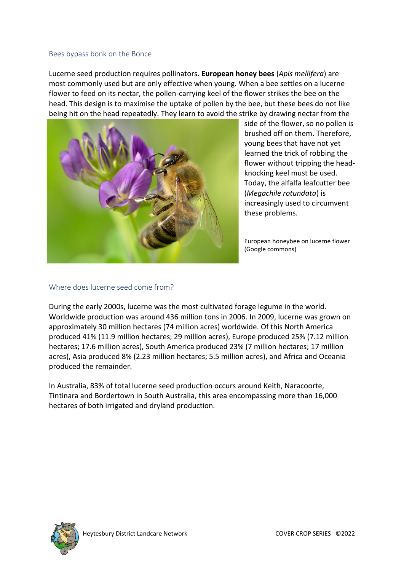#### Bees bypass bonk on the Bonce

Lucerne seed production requires pollinators. **European honey bees** (*Apis mellifera*) are most commonly used but are only effective when young. When a bee settles on a lucerne flower to feed on its nectar, the pollen-carrying keel of the flower strikes the bee on the head. This design is to maximise the uptake of pollen by the bee, but these bees do not like being hit on the head repeatedly. They learn to avoid the strike by drawing nectar from the



side of the flower, so no pollen is brushed off on them. Therefore, young bees that have not yet learned the trick of robbing the flower without tripping the headknocking keel must be used. Today, the alfalfa leafcutter bee (*Megachile rotundata*) is increasingly used to circumvent these problems.

European honeybee on lucerne flower (Google commons)

### Where does lucerne seed come from?

During the early 2000s, lucerne was the most cultivated forage legume in the world. Worldwide production was around 436 million tons in 2006. In 2009, lucerne was grown on approximately 30 million hectares (74 million acres) worldwide. Of this North America produced 41% (11.9 million hectares; 29 million acres), Europe produced 25% (7.12 million hectares; 17.6 million acres), South America produced 23% (7 million hectares; 17 million acres), Asia produced 8% (2.23 million hectares; 5.5 million acres), and Africa and Oceania produced the remainder.

In Australia, 83% of total lucerne seed production occurs around Keith, Naracoorte, Tintinara and Bordertown in South Australia, this area encompassing more than 16,000 hectares of both irrigated and dryland production.